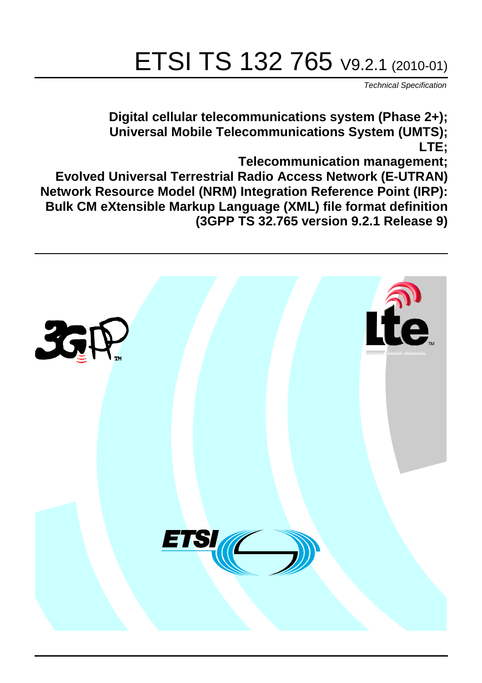# ETSI TS 132 765 V9.2.1 (2010-01)

*Technical Specification*

**Digital cellular telecommunications system (Phase 2+); Universal Mobile Telecommunications System (UMTS); LTE;**

**Telecommunication management;**

**Evolved Universal Terrestrial Radio Access Network (E-UTRAN) Network Resource Model (NRM) Integration Reference Point (IRP): Bulk CM eXtensible Markup Language (XML) file format definition (3GPP TS 32.765 version 9.2.1 Release 9)**

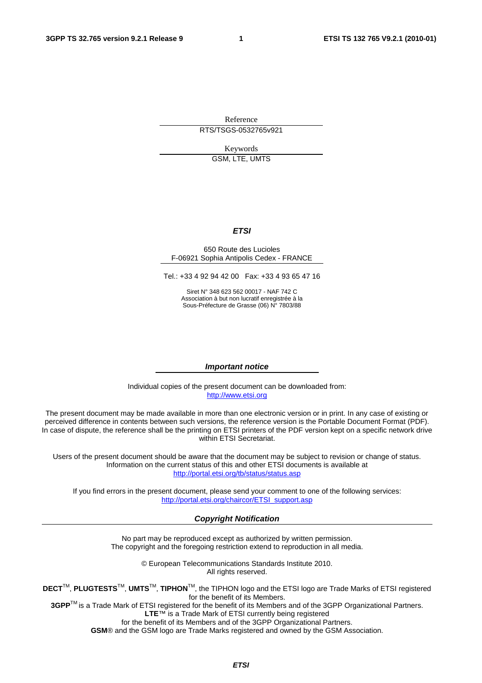Reference RTS/TSGS-0532765v921

Keywords

GSM, LTE, UMTS

#### *ETSI*

#### 650 Route des Lucioles F-06921 Sophia Antipolis Cedex - FRANCE

Tel.: +33 4 92 94 42 00 Fax: +33 4 93 65 47 16

Siret N° 348 623 562 00017 - NAF 742 C Association à but non lucratif enregistrée à la Sous-Préfecture de Grasse (06) N° 7803/88

#### *Important notice*

Individual copies of the present document can be downloaded from: [http://www.etsi.org](http://www.etsi.org/)

The present document may be made available in more than one electronic version or in print. In any case of existing or perceived difference in contents between such versions, the reference version is the Portable Document Format (PDF). In case of dispute, the reference shall be the printing on ETSI printers of the PDF version kept on a specific network drive within ETSI Secretariat.

Users of the present document should be aware that the document may be subject to revision or change of status. Information on the current status of this and other ETSI documents is available at <http://portal.etsi.org/tb/status/status.asp>

If you find errors in the present document, please send your comment to one of the following services: [http://portal.etsi.org/chaircor/ETSI\\_support.asp](http://portal.etsi.org/chaircor/ETSI_support.asp)

#### *Copyright Notification*

No part may be reproduced except as authorized by written permission. The copyright and the foregoing restriction extend to reproduction in all media.

> © European Telecommunications Standards Institute 2010. All rights reserved.

**DECT**TM, **PLUGTESTS**TM, **UMTS**TM, **TIPHON**TM, the TIPHON logo and the ETSI logo are Trade Marks of ETSI registered for the benefit of its Members.

**3GPP**TM is a Trade Mark of ETSI registered for the benefit of its Members and of the 3GPP Organizational Partners. **LTE**™ is a Trade Mark of ETSI currently being registered

for the benefit of its Members and of the 3GPP Organizational Partners.

**GSM**® and the GSM logo are Trade Marks registered and owned by the GSM Association.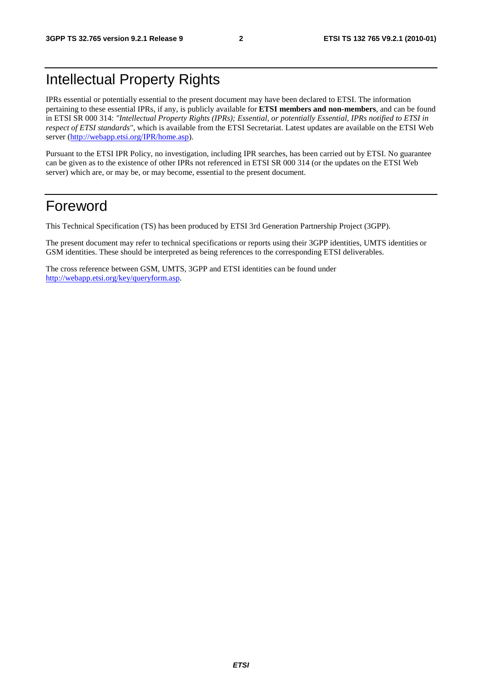## Intellectual Property Rights

IPRs essential or potentially essential to the present document may have been declared to ETSI. The information pertaining to these essential IPRs, if any, is publicly available for **ETSI members and non-members**, and can be found in ETSI SR 000 314: *"Intellectual Property Rights (IPRs); Essential, or potentially Essential, IPRs notified to ETSI in respect of ETSI standards"*, which is available from the ETSI Secretariat. Latest updates are available on the ETSI Web server [\(http://webapp.etsi.org/IPR/home.asp](http://webapp.etsi.org/IPR/home.asp)).

Pursuant to the ETSI IPR Policy, no investigation, including IPR searches, has been carried out by ETSI. No guarantee can be given as to the existence of other IPRs not referenced in ETSI SR 000 314 (or the updates on the ETSI Web server) which are, or may be, or may become, essential to the present document.

#### Foreword

This Technical Specification (TS) has been produced by ETSI 3rd Generation Partnership Project (3GPP).

The present document may refer to technical specifications or reports using their 3GPP identities, UMTS identities or GSM identities. These should be interpreted as being references to the corresponding ETSI deliverables.

The cross reference between GSM, UMTS, 3GPP and ETSI identities can be found under <http://webapp.etsi.org/key/queryform.asp>.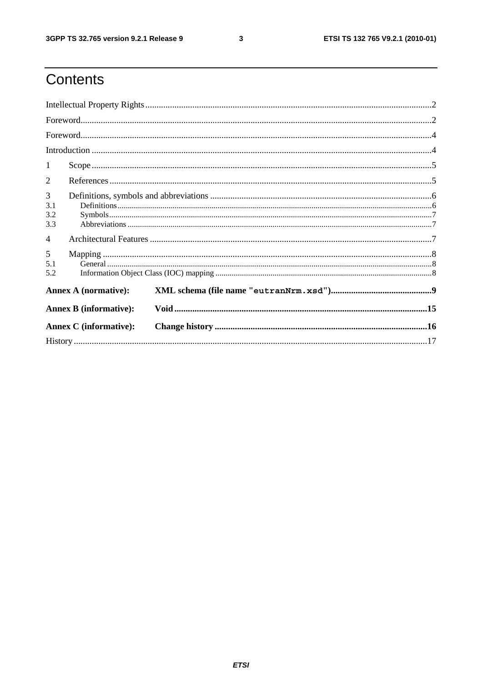$\mathbf{3}$ 

# Contents

| $\mathbf{1}$                  |  |  |  |  |
|-------------------------------|--|--|--|--|
| 2                             |  |  |  |  |
| 3<br>3.1<br>3.2<br>3.3        |  |  |  |  |
| $\overline{4}$                |  |  |  |  |
| 5<br>5.1<br>5.2               |  |  |  |  |
| <b>Annex A (normative):</b>   |  |  |  |  |
| <b>Annex B</b> (informative): |  |  |  |  |
| <b>Annex C</b> (informative): |  |  |  |  |
|                               |  |  |  |  |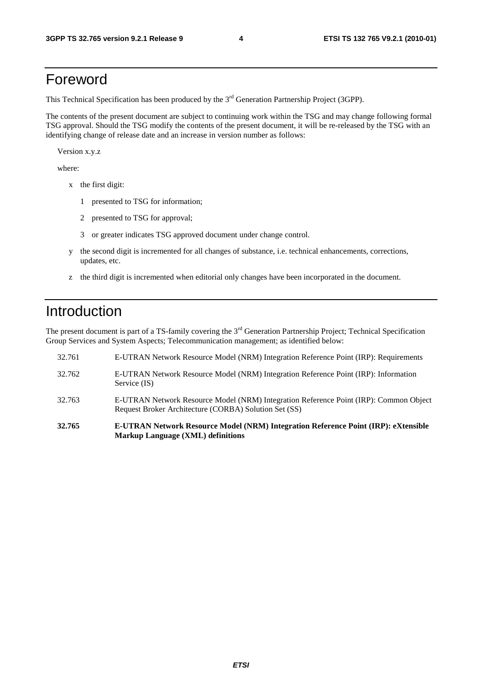#### Foreword

This Technical Specification has been produced by the 3<sup>rd</sup> Generation Partnership Project (3GPP).

The contents of the present document are subject to continuing work within the TSG and may change following formal TSG approval. Should the TSG modify the contents of the present document, it will be re-released by the TSG with an identifying change of release date and an increase in version number as follows:

Version x.y.z

where:

- x the first digit:
	- 1 presented to TSG for information;
	- 2 presented to TSG for approval;
	- 3 or greater indicates TSG approved document under change control.
- y the second digit is incremented for all changes of substance, i.e. technical enhancements, corrections, updates, etc.
- z the third digit is incremented when editorial only changes have been incorporated in the document.

### Introduction

The present document is part of a TS-family covering the 3<sup>rd</sup> Generation Partnership Project; Technical Specification Group Services and System Aspects; Telecommunication management; as identified below:

- 32.761 E-UTRAN Network Resource Model (NRM) Integration Reference Point (IRP): Requirements 32.762 E-UTRAN Network Resource Model (NRM) Integration Reference Point (IRP): Information Service (IS) 32.763 E-UTRAN Network Resource Model (NRM) Integration Reference Point (IRP): Common Object Request Broker Architecture (CORBA) Solution Set (SS) **32.765 E-UTRAN Network Resource Model (NRM) Integration Reference Point (IRP): eXtensible**
- **Markup Language (XML) definitions**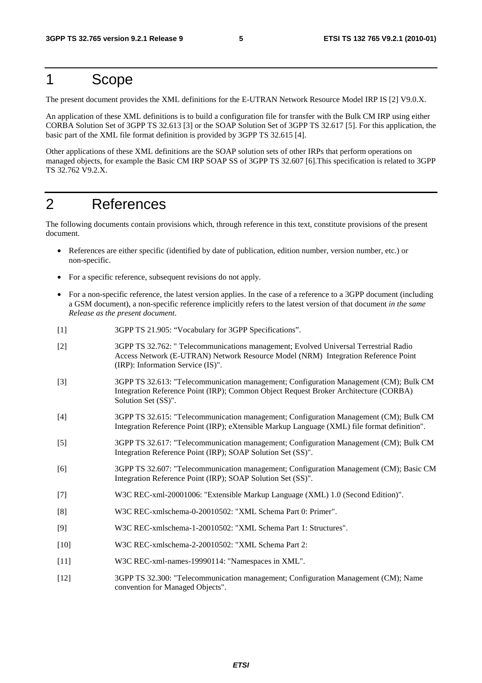#### 1 Scope

The present document provides the XML definitions for the E-UTRAN Network Resource Model IRP IS [2] V9.0.X.

An application of these XML definitions is to build a configuration file for transfer with the Bulk CM IRP using either CORBA Solution Set of 3GPP TS 32.613 [3] or the SOAP Solution Set of 3GPP TS 32.617 [5]. For this application, the basic part of the XML file format definition is provided by 3GPP TS 32.615 [4].

Other applications of these XML definitions are the SOAP solution sets of other IRPs that perform operations on managed objects, for example the Basic CM IRP SOAP SS of 3GPP TS 32.607 [6].This specification is related to 3GPP TS 32.762 V9.2.X.

#### 2 References

The following documents contain provisions which, through reference in this text, constitute provisions of the present document.

- References are either specific (identified by date of publication, edition number, version number, etc.) or non-specific.
- For a specific reference, subsequent revisions do not apply.
- For a non-specific reference, the latest version applies. In the case of a reference to a 3GPP document (including a GSM document), a non-specific reference implicitly refers to the latest version of that document *in the same Release as the present document*.
- [1] 3GPP TS 21.905: "Vocabulary for 3GPP Specifications".
- [2] 3GPP TS 32.762: " Telecommunications management; Evolved Universal Terrestrial Radio Access Network (E-UTRAN) Network Resource Model (NRM) Integration Reference Point (IRP): Information Service (IS)".
- [3] 3GPP TS 32.613: "Telecommunication management; Configuration Management (CM); Bulk CM Integration Reference Point (IRP); Common Object Request Broker Architecture (CORBA) Solution Set (SS)".
- [4] 3GPP TS 32.615: "Telecommunication management; Configuration Management (CM); Bulk CM Integration Reference Point (IRP); eXtensible Markup Language (XML) file format definition".
- [5] 3GPP TS 32.617: "Telecommunication management; Configuration Management (CM); Bulk CM Integration Reference Point (IRP); SOAP Solution Set (SS)".
- [6] 3GPP TS 32.607: "Telecommunication management; Configuration Management (CM); Basic CM Integration Reference Point (IRP); SOAP Solution Set (SS)".
- [7] W3C REC-xml-20001006: "Extensible Markup Language (XML) 1.0 (Second Edition)".
- [8] W3C REC-xmlschema-0-20010502: "XML Schema Part 0: Primer".
- [9] W3C REC-xmlschema-1-20010502: "XML Schema Part 1: Structures".
- [10] W3C REC-xmlschema-2-20010502: "XML Schema Part 2:
- [11] W3C REC-xml-names-19990114: "Namespaces in XML".
- [12] 3GPP TS 32.300: "Telecommunication management; Configuration Management (CM); Name convention for Managed Objects".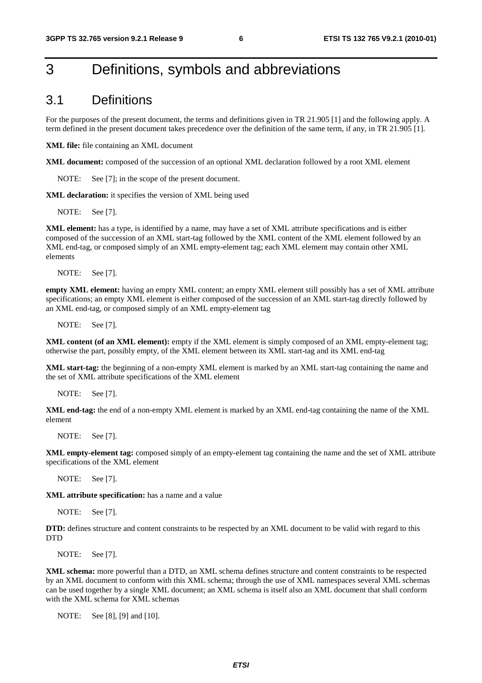### 3 Definitions, symbols and abbreviations

#### 3.1 Definitions

For the purposes of the present document, the terms and definitions given in TR 21.905 [1] and the following apply. A term defined in the present document takes precedence over the definition of the same term, if any, in TR 21.905 [1].

**XML file:** file containing an XML document

**XML document:** composed of the succession of an optional XML declaration followed by a root XML element

NOTE: See [7]; in the scope of the present document.

**XML declaration:** it specifies the version of XML being used

NOTE: See [7].

**XML element:** has a type, is identified by a name, may have a set of XML attribute specifications and is either composed of the succession of an XML start-tag followed by the XML content of the XML element followed by an XML end-tag, or composed simply of an XML empty-element tag; each XML element may contain other XML elements

NOTE: See [7].

**empty XML element:** having an empty XML content; an empty XML element still possibly has a set of XML attribute specifications; an empty XML element is either composed of the succession of an XML start-tag directly followed by an XML end-tag, or composed simply of an XML empty-element tag

NOTE: See [7].

**XML content (of an XML element):** empty if the XML element is simply composed of an XML empty-element tag; otherwise the part, possibly empty, of the XML element between its XML start-tag and its XML end-tag

**XML start-tag:** the beginning of a non-empty XML element is marked by an XML start-tag containing the name and the set of XML attribute specifications of the XML element

NOTE: See [7].

**XML end-tag:** the end of a non-empty XML element is marked by an XML end-tag containing the name of the XML element

NOTE: See [7].

**XML empty-element tag:** composed simply of an empty-element tag containing the name and the set of XML attribute specifications of the XML element

NOTE: See [7].

**XML attribute specification:** has a name and a value

NOTE: See [7].

**DTD:** defines structure and content constraints to be respected by an XML document to be valid with regard to this **DTD** 

NOTE: See [7].

**XML schema:** more powerful than a DTD, an XML schema defines structure and content constraints to be respected by an XML document to conform with this XML schema; through the use of XML namespaces several XML schemas can be used together by a single XML document; an XML schema is itself also an XML document that shall conform with the XML schema for XML schemas

NOTE: See [8], [9] and [10].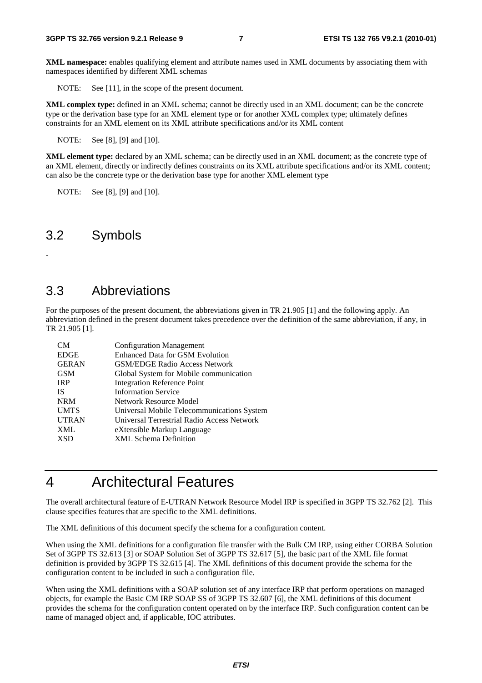**XML namespace:** enables qualifying element and attribute names used in XML documents by associating them with namespaces identified by different XML schemas

NOTE: See [11], in the scope of the present document.

**XML complex type:** defined in an XML schema; cannot be directly used in an XML document; can be the concrete type or the derivation base type for an XML element type or for another XML complex type; ultimately defines constraints for an XML element on its XML attribute specifications and/or its XML content

NOTE: See [8], [9] and [10].

**XML element type:** declared by an XML schema; can be directly used in an XML document; as the concrete type of an XML element, directly or indirectly defines constraints on its XML attribute specifications and/or its XML content; can also be the concrete type or the derivation base type for another XML element type

NOTE: See [8], [9] and [10].

#### 3.2 Symbols

-

#### 3.3 Abbreviations

For the purposes of the present document, the abbreviations given in TR 21.905 [1] and the following apply. An abbreviation defined in the present document takes precedence over the definition of the same abbreviation, if any, in TR 21.905 [1].

| <b>CM</b>    | <b>Configuration Management</b>            |
|--------------|--------------------------------------------|
| <b>EDGE</b>  | <b>Enhanced Data for GSM Evolution</b>     |
| <b>GERAN</b> | <b>GSM/EDGE Radio Access Network</b>       |
| <b>GSM</b>   | Global System for Mobile communication     |
| <b>IRP</b>   | <b>Integration Reference Point</b>         |
| <b>IS</b>    | <b>Information Service</b>                 |
| <b>NRM</b>   | <b>Network Resource Model</b>              |
| <b>UMTS</b>  | Universal Mobile Telecommunications System |
| <b>UTRAN</b> | Universal Terrestrial Radio Access Network |
| <b>XML</b>   | eXtensible Markup Language                 |
| <b>XSD</b>   | <b>XML</b> Schema Definition               |

### 4 Architectural Features

The overall architectural feature of E-UTRAN Network Resource Model IRP is specified in 3GPP TS 32.762 [2]. This clause specifies features that are specific to the XML definitions.

The XML definitions of this document specify the schema for a configuration content.

When using the XML definitions for a configuration file transfer with the Bulk CM IRP, using either CORBA Solution Set of 3GPP TS 32.613 [3] or SOAP Solution Set of 3GPP TS 32.617 [5], the basic part of the XML file format definition is provided by 3GPP TS 32.615 [4]. The XML definitions of this document provide the schema for the configuration content to be included in such a configuration file.

When using the XML definitions with a SOAP solution set of any interface IRP that perform operations on managed objects, for example the Basic CM IRP SOAP SS of 3GPP TS 32.607 [6], the XML definitions of this document provides the schema for the configuration content operated on by the interface IRP. Such configuration content can be name of managed object and, if applicable, IOC attributes.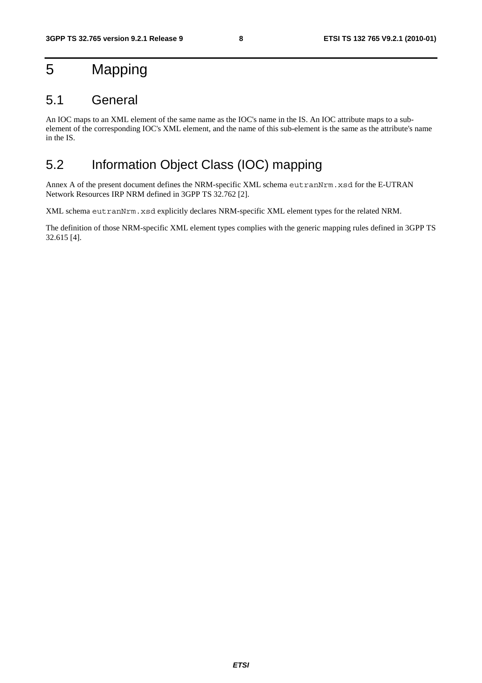# 5 Mapping

#### 5.1 General

An IOC maps to an XML element of the same name as the IOC's name in the IS. An IOC attribute maps to a subelement of the corresponding IOC's XML element, and the name of this sub-element is the same as the attribute's name in the IS.

#### 5.2 Information Object Class (IOC) mapping

Annex A of the present document defines the NRM-specific XML schema eutranNrm.xsd for the E-UTRAN Network Resources IRP NRM defined in 3GPP TS 32.762 [2].

XML schema eutranNrm.xsd explicitly declares NRM-specific XML element types for the related NRM.

The definition of those NRM-specific XML element types complies with the generic mapping rules defined in 3GPP TS 32.615 [4].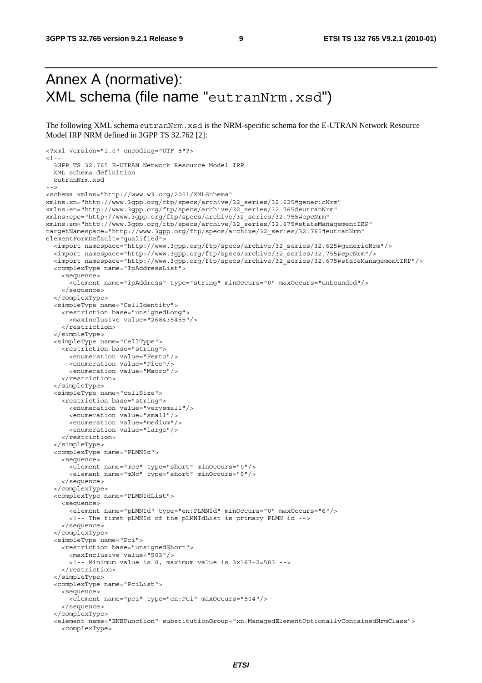### Annex A (normative): XML schema (file name "eutranNrm.xsd")

The following XML schema eutranNrm.xsd is the NRM-specific schema for the E-UTRAN Network Resource Model IRP NRM defined in 3GPP TS 32.762 [2]:

```
<?xml version="1.0" encoding="UTF-8"?> 
2 - 3GPP TS 32.765 E-UTRAN Network Resource Model IRP 
   XML schema definition 
   eutranNrm.xsd 
--> 
<schema xmlns="http://www.w3.org/2001/XMLSchema" 
xmlns:xn="http://www.3gpp.org/ftp/specs/archive/32_series/32.625#genericNrm" 
xmlns:en="http://www.3gpp.org/ftp/specs/archive/32_series/32.765#eutranNrm" 
xmlns:epc="http://www.3gpp.org/ftp/specs/archive/32_series/32.755#epcNrm" 
xmlns:sm="http://www.3gpp.org/ftp/specs/archive/32_series/32.675#stateManagementIRP" 
targetNamespace="http://www.3gpp.org/ftp/specs/archive/32_series/32.765#eutranNrm" 
elementFormDefault="qualified"> 
   <import namespace="http://www.3gpp.org/ftp/specs/archive/32_series/32.625#genericNrm"/> 
   <import namespace="http://www.3gpp.org/ftp/specs/archive/32_series/32.755#epcNrm"/> 
   <import namespace="http://www.3gpp.org/ftp/specs/archive/32_series/32.675#stateManagementIRP"/> 
   <complexType name="IpAddressList"> 
     <sequence> 
       <element name="ipAddress" type="string" minOccurs="0" maxOccurs="unbounded"/> 
     </sequence> 
   </complexType> 
   <simpleType name="CellIdentity"> 
     <restriction base="unsignedLong"> 
       <maxInclusive value="268435455"/> 
     </restriction> 
   </simpleType> 
   <simpleType name="CellType"> 
     <restriction base="string"> 
       <enumeration value="Femto"/> 
       <enumeration value="Pico"/> 
       <enumeration value="Macro"/> 
     </restriction> 
   </simpleType> 
   <simpleType name="cellSize"> 
     <restriction base="string"> 
       <enumeration value="verysmall"/> 
       <enumeration value="small"/> 
       <enumeration value="medium"/> 
       <enumeration value="large"/> 
     </restriction> 
   </simpleType> 
   <complexType name="PLMNId"> 
     <sequence> 
       <element name="mcc" type="short" minOccurs="0"/> 
       <element name="mNc" type="short" minOccurs="0"/> 
     </sequence> 
   </complexType> 
   <complexType name="PLMNIdList"> 
     <sequence> 
       <element name="pLMNId" type="en:PLMNId" minOccurs="0" maxOccurs="6"/> 
       <!-- The first pLMNId of the pLMNIdList is primary PLMN id --> 
     </sequence> 
   </complexType> 
   <simpleType name="Pci"> 
     <restriction base="unsignedShort"> 
       <maxInclusive value="503"/> 
       <!-- Minimum value is 0, maximum value is 3x167+2=503 --> 
     </restriction> 
   </simpleType> 
   <complexType name="PciList"> 
     <sequence> 
       <element name="pci" type="en:Pci" maxOccurs="504"/> 
     </sequence> 
   </complexType> 
   <element name="ENBFunction" substitutionGroup="xn:ManagedElementOptionallyContainedNrmClass"> 
     <complexType>
```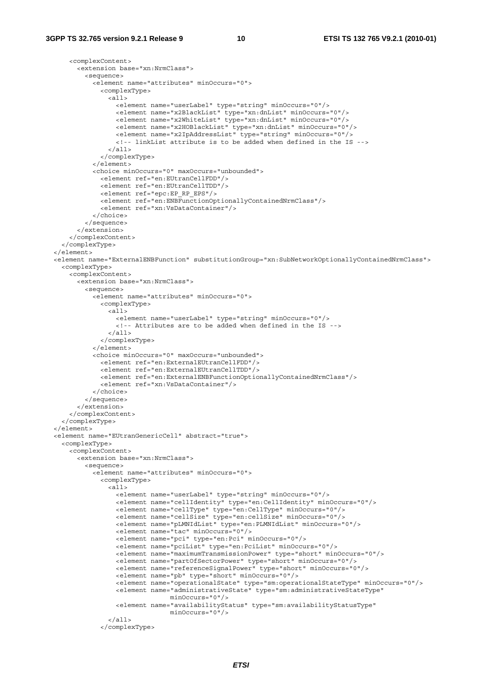```
 <complexContent> 
       <extension base="xn:NrmClass"> 
         <sequence> 
           <element name="attributes" minOccurs="0"> 
             <complexType> 
               <all> 
                  <element name="userLabel" type="string" minOccurs="0"/> 
                  <element name="x2BlackList" type="xn:dnList" minOccurs="0"/> 
                  <element name="x2WhiteList" type="xn:dnList" minOccurs="0"/> 
                  <element name="x2HOBlackList" type="xn:dnList" minOccurs="0"/> 
                  <element name="x2IpAddressList" type="string" minOccurs="0"/> 
                  <!-- linkList attribute is to be added when defined in the IS --> 
              \langleall> </complexType> 
           </element> 
           <choice minOccurs="0" maxOccurs="unbounded"> 
             <element ref="en:EUtranCellFDD"/> 
             <element ref="en:EUtranCellTDD"/> 
             <element ref="epc:EP_RP_EPS"/> 
             <element ref="en:ENBFunctionOptionallyContainedNrmClass"/> 
             <element ref="xn:VsDataContainer"/> 
           </choice> 
         </sequence> 
       </extension> 
     </complexContent> 
   </complexType> 
 </element> 
 <element name="ExternalENBFunction" substitutionGroup="xn:SubNetworkOptionallyContainedNrmClass"> 
   <complexType> 
     <complexContent> 
       <extension base="xn:NrmClass"> 
         <sequence> 
           <element name="attributes" minOccurs="0"> 
             <complexType> 
                <all> 
                  <element name="userLabel" type="string" minOccurs="0"/> 
                  <!-- Attributes are to be added when defined in the IS --> 
               </all> 
             </complexType> 
           </element> 
           <choice minOccurs="0" maxOccurs="unbounded"> 
             <element ref="en:ExternalEUtranCellFDD"/> 
             <element ref="en:ExternalEUtranCellTDD"/> 
             <element ref="en:ExternalENBFunctionOptionallyContainedNrmClass"/> 
             <element ref="xn:VsDataContainer"/> 
           </choice> 
         </sequence> 
       </extension> 
     </complexContent> 
   </complexType> 
 </element> 
 <element name="EUtranGenericCell" abstract="true"> 
   <complexType> 
     <complexContent> 
       <extension base="xn:NrmClass"> 
         <sequence> 
           <element name="attributes" minOccurs="0"> 
             <complexType> 
               <all> 
                  <element name="userLabel" type="string" minOccurs="0"/> 
                  <element name="cellIdentity" type="en:CellIdentity" minOccurs="0"/> 
                  <element name="cellType" type="en:CellType" minOccurs="0"/> 
                  <element name="cellSize" type="en:cellSize" minOccurs="0"/> 
                  <element name="pLMNIdList" type="en:PLMNIdList" minOccurs="0"/> 
                  <element name="tac" minOccurs="0"/> 
                  <element name="pci" type="en:Pci" minOccurs="0"/> 
                  <element name="pciList" type="en:PciList" minOccurs="0"/> 
                  <element name="maximumTransmissionPower" type="short" minOccurs="0"/> 
                  <element name="partOfSectorPower" type="short" minOccurs="0"/> 
                  <element name="referenceSignalPower" type="short" minOccurs="0"/> 
                  <element name="pb" type="short" minOccurs="0"/> 
                  <element name="operationalState" type="sm:operationalStateType" minOccurs="0"/> 
                  <element name="administrativeState" type="sm:administrativeStateType" 
                                minOccurs="0"/> 
                  <element name="availabilityStatus" type="sm:availabilityStatusType" 
                                minOccurs="0"/> 
               </all> 
             </complexType>
```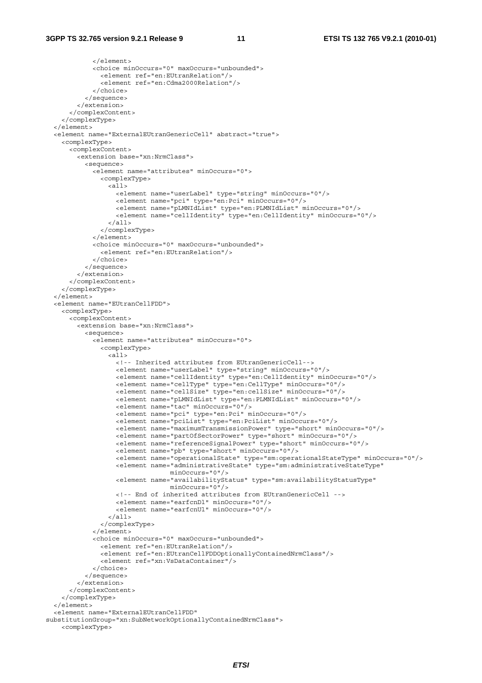```
 </element> 
              <choice minOccurs="0" maxOccurs="unbounded"> 
                <element ref="en:EUtranRelation"/> 
                <element ref="en:Cdma2000Relation"/> 
              </choice> 
           </sequence> 
         </extension> 
       </complexContent> 
     </complexType> 
   </element> 
   <element name="ExternalEUtranGenericCell" abstract="true"> 
     <complexType> 
       <complexContent> 
         <extension base="xn:NrmClass"> 
           <sequence> 
             <element name="attributes" minOccurs="0"> 
                <complexType> 
                  <all> 
                    <element name="userLabel" type="string" minOccurs="0"/> 
                    <element name="pci" type="en:Pci" minOccurs="0"/> 
                    <element name="pLMNIdList" type="en:PLMNIdList" minOccurs="0"/> 
                    <element name="cellIdentity" type="en:CellIdentity" minOccurs="0"/> 
                 \langleall> </complexType> 
             \epsilon/element>
              <choice minOccurs="0" maxOccurs="unbounded"> 
                <element ref="en:EUtranRelation"/> 
              </choice> 
           </sequence> 
        \sim/extension\sim </complexContent> 
     </complexType> 
   </element> 
   <element name="EUtranCellFDD"> 
     <complexType> 
       <complexContent> 
         <extension base="xn:NrmClass"> 
           <sequence> 
              <element name="attributes" minOccurs="0"> 
                <complexType> 
                  <all> 
                    <!-- Inherited attributes from EUtranGenericCell--> 
                    <element name="userLabel" type="string" minOccurs="0"/> 
                    <element name="cellIdentity" type="en:CellIdentity" minOccurs="0"/> 
                    <element name="cellType" type="en:CellType" minOccurs="0"/> 
                    <element name="cellSize" type="en:cellSize" minOccurs="0"/> 
                    <element name="pLMNIdList" type="en:PLMNIdList" minOccurs="0"/> 
                    <element name="tac" minOccurs="0"/> 
                    <element name="pci" type="en:Pci" minOccurs="0"/> 
                    <element name="pciList" type="en:PciList" minOccurs="0"/> 
                    <element name="maximumTransmissionPower" type="short" minOccurs="0"/> 
                    <element name="partOfSectorPower" type="short" minOccurs="0"/> 
                    <element name="referenceSignalPower" type="short" minOccurs="0"/> 
                    <element name="pb" type="short" minOccurs="0"/> 
                    <element name="operationalState" type="sm:operationalStateType" minOccurs="0"/> 
                   <element name="administrativeState" type="sm:administrativeStateType"
                                  minOccurs="0"/> 
                    <element name="availabilityStatus" type="sm:availabilityStatusType" 
                                   minOccurs="0"/> 
                    <!-- End of inherited attributes from EUtranGenericCell --> 
                    <element name="earfcnDl" minOccurs="0"/> 
                    <element name="earfcnUl" minOccurs="0"/> 
                 \langleall\rangle </complexType> 
             \epsilon/elements
             <choice minOccurs="0" maxOccurs="unbounded"> 
                <element ref="en:EUtranRelation"/> 
                <element ref="en:EUtranCellFDDOptionallyContainedNrmClass"/> 
                <element ref="xn:VsDataContainer"/> 
              </choice> 
            </sequence> 
         </extension> 
       </complexContent> 
     </complexType> 
   </element> 
   <element name="ExternalEUtranCellFDD" 
substitutionGroup="xn:SubNetworkOptionallyContainedNrmClass"> 
     <complexType>
```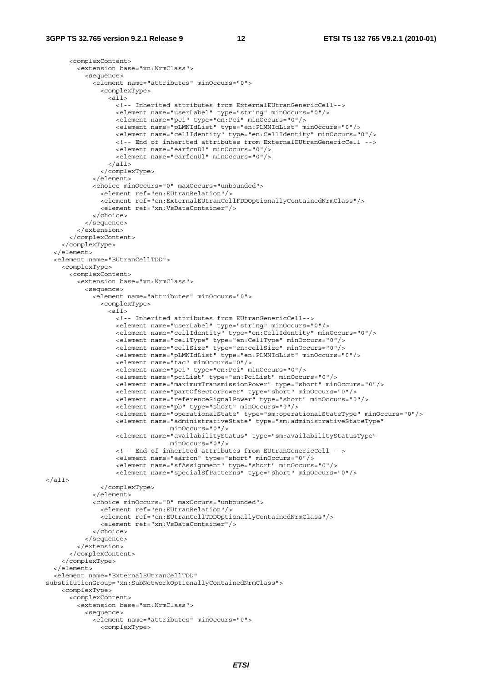```
 <complexContent> 
         <extension base="xn:NrmClass"> 
           <sequence> 
             <element name="attributes" minOccurs="0"> 
                <complexType> 
                  <all> 
                    <!-- Inherited attributes from ExternalEUtranGenericCell--> 
                    <element name="userLabel" type="string" minOccurs="0"/> 
                    <element name="pci" type="en:Pci" minOccurs="0"/> 
                    <element name="pLMNIdList" type="en:PLMNIdList" minOccurs="0"/> 
                    <element name="cellIdentity" type="en:CellIdentity" minOccurs="0"/> 
                    <!-- End of inherited attributes from ExternalEUtranGenericCell --> 
                    <element name="earfcnDl" minOccurs="0"/> 
                    <element name="earfcnUl" minOccurs="0"/> 
                 \epsilon/all> </complexType> 
            \epsilon/elements
              <choice minOccurs="0" maxOccurs="unbounded"> 
                <element ref="en:EUtranRelation"/> 
                <element ref="en:ExternalEUtranCellFDDOptionallyContainedNrmClass"/> 
                <element ref="xn:VsDataContainer"/> 
             </choice> 
           </sequence> 
         </extension> 
       </complexContent> 
     </complexType> 
   </element> 
   <element name="EUtranCellTDD"> 
     <complexType> 
       <complexContent> 
         <extension base="xn:NrmClass"> 
           <sequence> 
             <element name="attributes" minOccurs="0"> 
                <complexType> 
                  <all> 
                    <!-- Inherited attributes from EUtranGenericCell--> 
                    <element name="userLabel" type="string" minOccurs="0"/> 
                    <element name="cellIdentity" type="en:CellIdentity" minOccurs="0"/> 
                    <element name="cellType" type="en:CellType" minOccurs="0"/> 
                    <element name="cellSize" type="en:cellSize" minOccurs="0"/> 
                    <element name="pLMNIdList" type="en:PLMNIdList" minOccurs="0"/> 
                    <element name="tac" minOccurs="0"/> 
                    <element name="pci" type="en:Pci" minOccurs="0"/> 
                    <element name="pciList" type="en:PciList" minOccurs="0"/> 
                    <element name="maximumTransmissionPower" type="short" minOccurs="0"/> 
                    <element name="partOfSectorPower" type="short" minOccurs="0"/> 
                    <element name="referenceSignalPower" type="short" minOccurs="0"/> 
                    <element name="pb" type="short" minOccurs="0"/> 
                    <element name="operationalState" type="sm:operationalStateType" minOccurs="0"/> 
                    <element name="administrativeState" type="sm:administrativeStateType" 
                                  minOccurs="0"/> 
                    <element name="availabilityStatus" type="sm:availabilityStatusType" 
                                   minOccurs="0"/> 
                    <!-- End of inherited attributes from EUtranGenericCell --> 
                    <element name="earfcn" type="short" minOccurs="0"/> 
                    <element name="sfAssignment" type="short" minOccurs="0"/> 
                    <element name="specialSfPatterns" type="short" minOccurs="0"/> 
</all> 
                </complexType> 
            \epsilon/elements
             <choice minOccurs="0" maxOccurs="unbounded"> 
                <element ref="en:EUtranRelation"/> 
                <element ref="en:EUtranCellTDDOptionallyContainedNrmClass"/> 
                <element ref="xn:VsDataContainer"/> 
             </choice> 
           </sequence> 
         </extension> 
       </complexContent> 
     </complexType> 
   </element> 
   <element name="ExternalEUtranCellTDD" 
substitutionGroup="xn:SubNetworkOptionallyContainedNrmClass"> 
     <complexType> 
       <complexContent> 
         <extension base="xn:NrmClass"> 
           <sequence> 
             <element name="attributes" minOccurs="0"> 
                <complexType>
```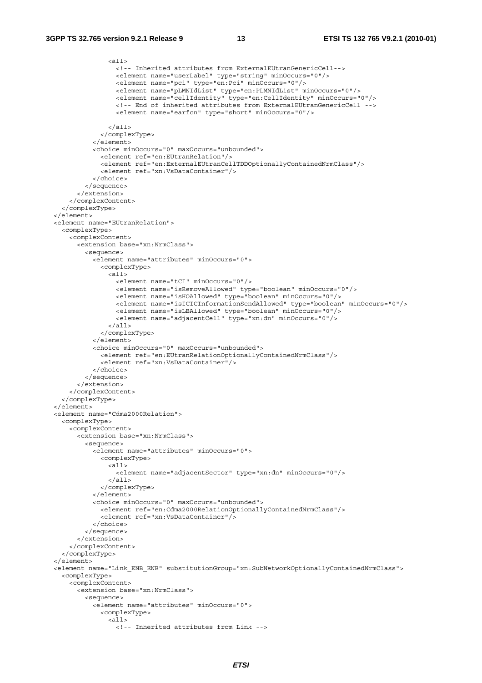```
 <all> 
                  <!-- Inherited attributes from ExternalEUtranGenericCell--> 
                  <element name="userLabel" type="string" minOccurs="0"/> 
                  <element name="pci" type="en:Pci" minOccurs="0"/> 
                  <element name="pLMNIdList" type="en:PLMNIdList" minOccurs="0"/> 
                  <element name="cellIdentity" type="en:CellIdentity" minOccurs="0"/> 
                  <!-- End of inherited attributes from ExternalEUtranGenericCell --> 
                  <element name="earfcn" type="short" minOccurs="0"/> 
               \langleall> </complexType> 
            </element> 
            <choice minOccurs="0" maxOccurs="unbounded"> 
              <element ref="en:EUtranRelation"/> 
              <element ref="en:ExternalEUtranCellTDDOptionallyContainedNrmClass"/> 
              <element ref="xn:VsDataContainer"/> 
           </choice> 
         </sequence> 
       </extension> 
     </complexContent> 
   </complexType> 
 </element> 
 <element name="EUtranRelation"> 
   <complexType> 
     <complexContent> 
       <extension base="xn:NrmClass"> 
         <sequence> 
           <element name="attributes" minOccurs="0"> 
              <complexType> 
               \geqall\leq <element name="tCI" minOccurs="0"/> 
                  <element name="isRemoveAllowed" type="boolean" minOccurs="0"/> 
                  <element name="isHOAllowed" type="boolean" minOccurs="0"/> 
                  <element name="isICICInformationSendAllowed" type="boolean" minOccurs="0"/> 
                  <element name="isLBAllowed" type="boolean" minOccurs="0"/> 
                  <element name="adjacentCell" type="xn:dn" minOccurs="0"/> 
                </all> 
              </complexType> 
            </element> 
            <choice minOccurs="0" maxOccurs="unbounded"> 
              <element ref="en:EUtranRelationOptionallyContainedNrmClass"/> 
              <element ref="xn:VsDataContainer"/> 
           </choice> 
         </sequence> 
       </extension> 
     </complexContent> 
   </complexType> 
 </element> 
 <element name="Cdma2000Relation"> 
   <complexType> 
     <complexContent> 
       <extension base="xn:NrmClass"> 
         <sequence> 
            <element name="attributes" minOccurs="0"> 
             <complexType> 
               \leq all\geq <element name="adjacentSector" type="xn:dn" minOccurs="0"/> 
               \langleall\rangle </complexType> 
          \epsilon/element>
           <choice minOccurs="0" maxOccurs="unbounded"> 
              <element ref="en:Cdma2000RelationOptionallyContainedNrmClass"/> 
              <element ref="xn:VsDataContainer"/> 
           </choice> 
         </sequence> 
       </extension> 
     </complexContent> 
   </complexType> 
 </element> 
 <element name="Link_ENB_ENB" substitutionGroup="xn:SubNetworkOptionallyContainedNrmClass"> 
   <complexType> 
     <complexContent> 
       <extension base="xn:NrmClass"> 
         <sequence> 
            <element name="attributes" minOccurs="0"> 
              <complexType> 
                <all> 
                  <!-- Inherited attributes from Link -->
```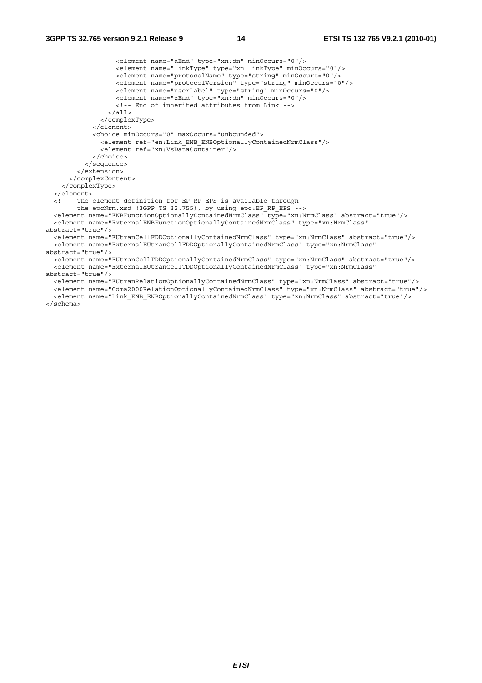```
 <element name="aEnd" type="xn:dn" minOccurs="0"/> 
                   <element name="linkType" type="xn:linkType" minOccurs="0"/> 
                   <element name="protocolName" type="string" minOccurs="0"/> 
 <element name="protocolVersion" type="string" minOccurs="0"/> 
 <element name="userLabel" type="string" minOccurs="0"/> 
                   <element name="zEnd" type="xn:dn" minOccurs="0"/> 
                   <!-- End of inherited attributes from Link --> 
                \langleall\rangle </complexType> 
             </element> 
             <choice minOccurs="0" maxOccurs="unbounded"> 
               <element ref="en:Link_ENB_ENBOptionallyContainedNrmClass"/> 
               <element ref="xn:VsDataContainer"/> 
             </choice> 
           </sequence> 
         </extension> 
       </complexContent> 
     </complexType> 
   </element> 
   <!-- The element definition for EP_RP_EPS is available through 
       the epcNrm.xsd (3GPP TS 32.755), by using epc:EP RP EPS -->
   <element name="ENBFunctionOptionallyContainedNrmClass" type="xn:NrmClass" abstract="true"/> 
   <element name="ExternalENBFunctionOptionallyContainedNrmClass" type="xn:NrmClass" 
abstract="true"/> 
   <element name="EUtranCellFDDOptionallyContainedNrmClass" type="xn:NrmClass" abstract="true"/> 
   <element name="ExternalEUtranCellFDDOptionallyContainedNrmClass" type="xn:NrmClass" 
abstract="true"/> 
   <element name="EUtranCellTDDOptionallyContainedNrmClass" type="xn:NrmClass" abstract="true"/> 
   <element name="ExternalEUtranCellTDDOptionallyContainedNrmClass" type="xn:NrmClass" 
abstract="true"/> 
   <element name="EUtranRelationOptionallyContainedNrmClass" type="xn:NrmClass" abstract="true"/> 
   <element name="Cdma2000RelationOptionallyContainedNrmClass" type="xn:NrmClass" abstract="true"/> 
   <element name="Link_ENB_ENBOptionallyContainedNrmClass" type="xn:NrmClass" abstract="true"/>
```
</schema>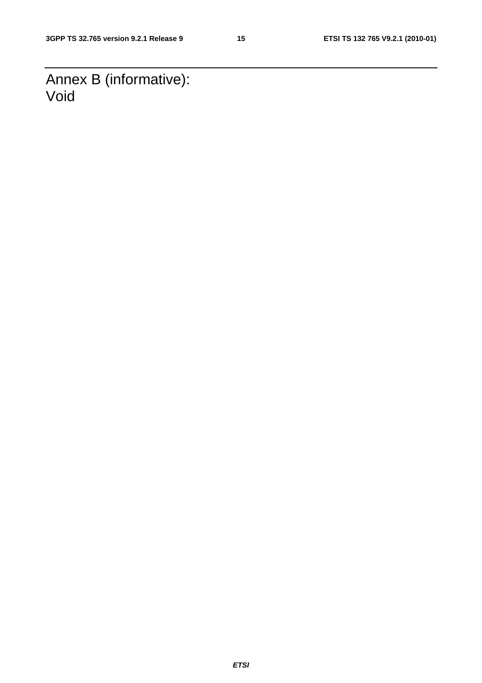Annex B (informative): Void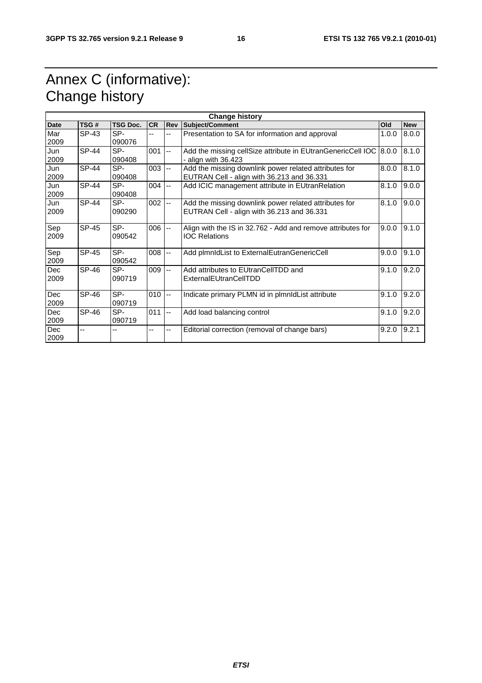# Annex C (informative): Change history

| <b>Change history</b> |              |                 |           |                           |                                                                                                     |       |            |  |
|-----------------------|--------------|-----------------|-----------|---------------------------|-----------------------------------------------------------------------------------------------------|-------|------------|--|
| <b>Date</b>           | TSG#         | <b>TSG Doc.</b> | <b>CR</b> | Rev                       | <b>Subject/Comment</b>                                                                              | Old   | <b>New</b> |  |
| Mar<br>2009           | SP-43        | SP-<br>090076   |           |                           | Presentation to SA for information and approval                                                     | 1.0.0 | 8.0.0      |  |
| Jun<br>2009           | <b>SP-44</b> | SP-<br>090408   | 001       | $\overline{a}$            | Add the missing cellSize attribute in EUtranGenericCell IOC 8.0.0<br>- align with 36.423            |       | 8.1.0      |  |
| Jun<br>2009           | <b>SP-44</b> | SP-<br>090408   | 003       | $\mathbf{L}$              | Add the missing downlink power related attributes for<br>EUTRAN Cell - align with 36.213 and 36.331 | 8.0.0 | 8.1.0      |  |
| Jun<br>2009           | <b>SP-44</b> | SP-<br>090408   | $004$ --  |                           | Add ICIC management attribute in EUtranRelation                                                     | 8.1.0 | 9.0.0      |  |
| Jun<br>2009           | <b>SP-44</b> | SP-<br>090290   | 002       | $\overline{a}$            | Add the missing downlink power related attributes for<br>EUTRAN Cell - align with 36.213 and 36.331 | 8.1.0 | 9.0.0      |  |
| Sep<br>2009           | SP-45        | SP-<br>090542   | 006       | l --                      | Align with the IS in 32.762 - Add and remove attributes for<br><b>IOC Relations</b>                 | 9.0.0 | 9.1.0      |  |
| Sep<br>2009           | <b>SP-45</b> | SP-<br>090542   | 008       | $-$                       | Add plmnldList to ExternalEutranGenericCell                                                         | 9.0.0 | 9.1.0      |  |
| <b>Dec</b><br>2009    | <b>SP-46</b> | SP-<br>090719   | 009       | $\mathbb{L}^{\mathbb{L}}$ | Add attributes to EUtranCellTDD and<br>ExternalEUtranCellTDD                                        | 9.1.0 | 9.2.0      |  |
| <b>Dec</b><br>2009    | SP-46        | SP-<br>090719   | 010       | $\overline{\phantom{a}}$  | Indicate primary PLMN id in plmnldList attribute                                                    | 9.1.0 | 9.2.0      |  |
| <b>Dec</b><br>2009    | SP-46        | SP-<br>090719   | 011       | $\ddotsc$                 | Add load balancing control                                                                          | 9.1.0 | 9.2.0      |  |
| <b>Dec</b><br>2009    | $-$          | $-$             | --        | --                        | Editorial correction (removal of change bars)                                                       | 9.2.0 | 9.2.1      |  |